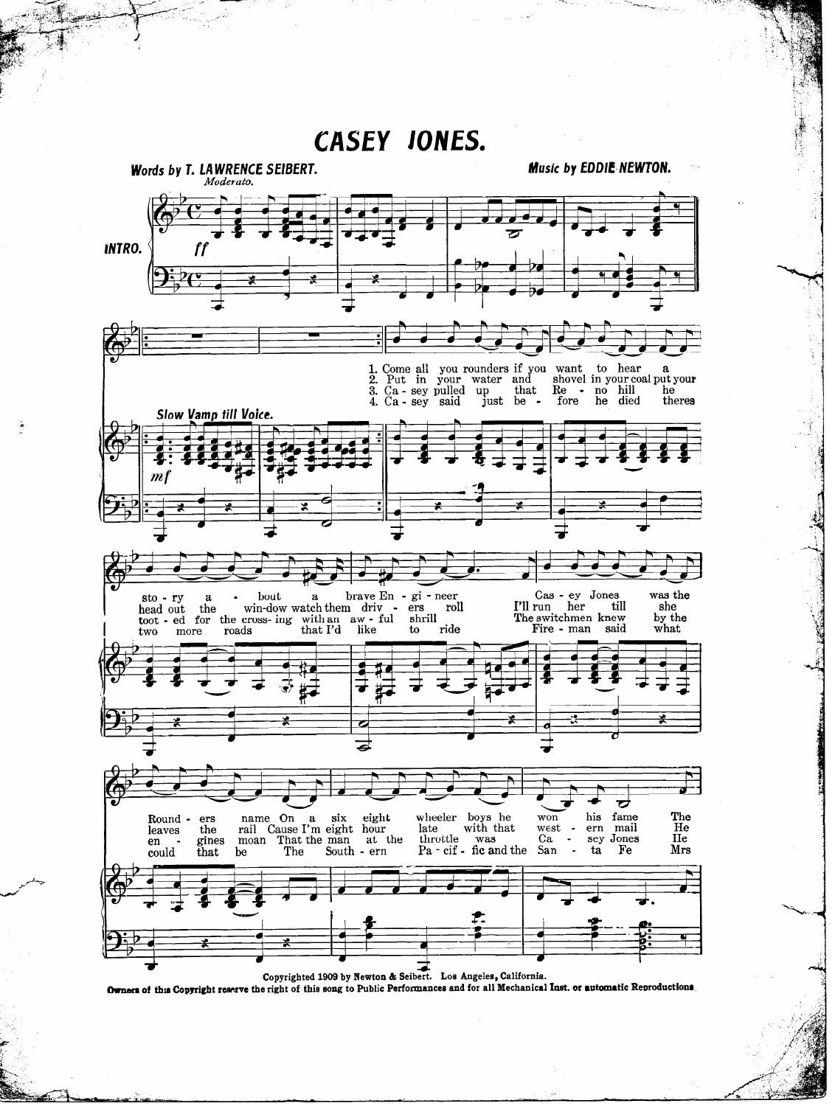## **CASEY JONES.**

Music by EDDIE NEWTON. Words by T. LAWRENCE SEIBERT. Moderato. **INTRO.** ff 1. Come all<br>2. Put in you rounders if you want<br>your water and shovel to hear  $\mathbf{a}$ shovel in your coal put your 3. Ca - sey pulled up<br>4. Ca - sey said ju that  $Re$ no hill he  $\bullet$ just be theres fore he died Slow Vamp till Voice.  $\boldsymbol{m}$ brave En $\,$  gi - neer Cas - ey Jones was the bout  $\bf a$ sto - ry  $\mathbf{a}$ I'll run till she head out the win-dow watch them  $\frac{dr}{r}$  ers roll her toot - ed for the cross- ing with an aw - ful shrill The switchmen knew by the Fire - man what said roads that I'd like  $\mathbf{t}$ ride two more ठ fame The name On wheeler boys he  $won$ his six eight ers  $\mathbf{a}$ Round with that He rail Cause I'm eight hour late west ern mail leaves the throttle was<br>Pa - cif - fic and the He  $Ca$ gines sey Jones moan That the man at the en The South - ern San ta Fe Mrs could that be Copyrighted 1909 by Newton & Seibert. Los Angeles, California.

Owners of this Copyright reserve the right of this song to Public Performances and for all Mechanical Inst. or automatic Reproductions.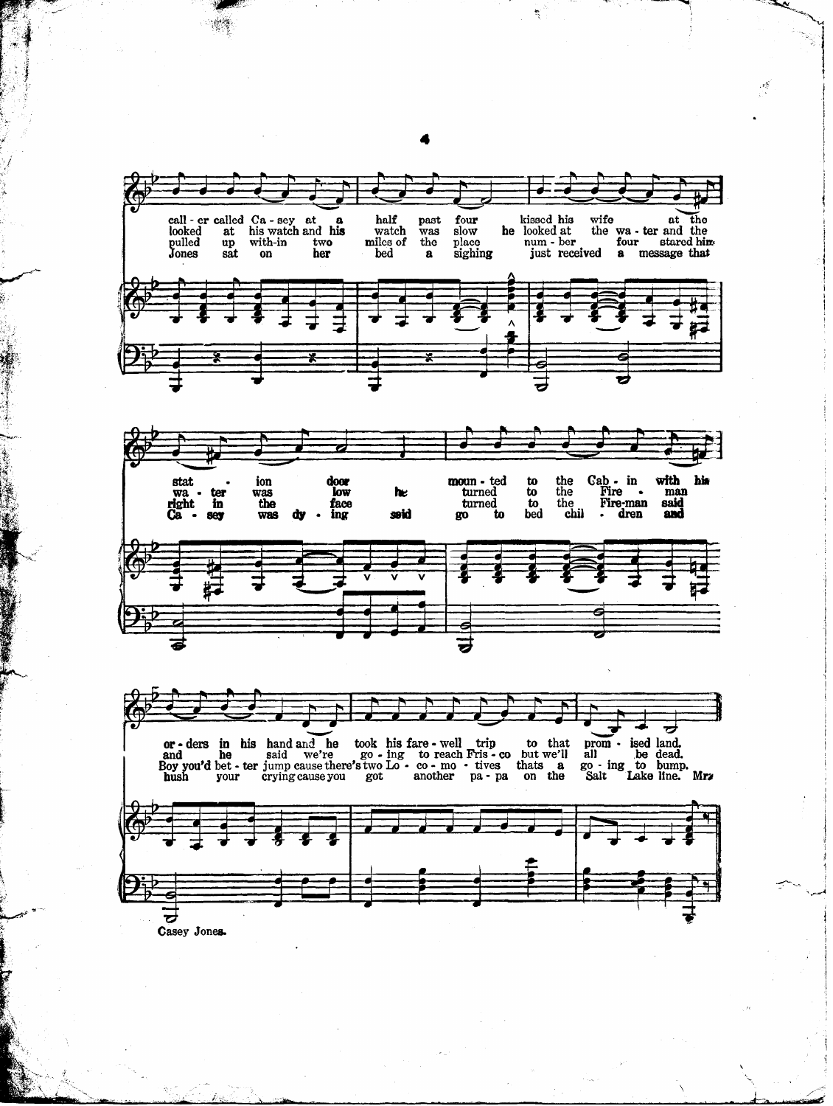

Casey Jonea

4

 $\frac{1}{2} \frac{d^2}{dt^2}$